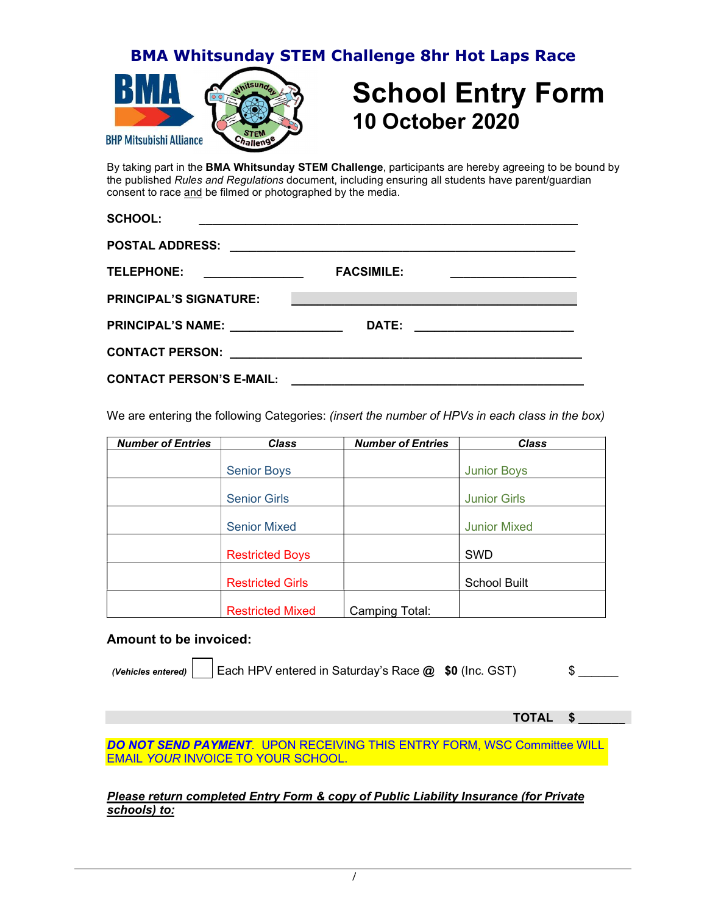BMA Whitsunday STEM Challenge 8hr Hot Laps Race



## School Entry Form 10 October 2020

By taking part in the **BMA Whitsunday STEM Challenge**, participants are hereby agreeing to be bound by the published Rules and Regulations document, including ensuring all students have parent/guardian consent to race and be filmed or photographed by the media.

| <b>SCHOOL:</b>                                                            | <u> 1989 - Andrea Stadt Britain, amerikan berlindar ing disebut berlinda dan berlinda dan berlinda dan berlinda d</u> |                                                                                                                                                                                                                                      |
|---------------------------------------------------------------------------|-----------------------------------------------------------------------------------------------------------------------|--------------------------------------------------------------------------------------------------------------------------------------------------------------------------------------------------------------------------------------|
| <b>POSTAL ADDRESS:</b>                                                    |                                                                                                                       |                                                                                                                                                                                                                                      |
| <u> 1989 - Jan Barnett, fransk politik (d. 1989)</u><br><b>TELEPHONE:</b> | <b>FACSIMILE:</b>                                                                                                     | <u> 1989 - Johann Barbara, martin a</u>                                                                                                                                                                                              |
| <b>PRINCIPAL'S SIGNATURE:</b>                                             |                                                                                                                       | <u> 1989 - Johann John Stone, mars et al. (1989)</u>                                                                                                                                                                                 |
| PRINCIPAL'S NAME: _______________                                         | <b>DATE:</b>                                                                                                          | <u> 1989 - Johann Harry Harry Harry Harry Harry Harry Harry Harry Harry Harry Harry Harry Harry Harry Harry Harry Harry Harry Harry Harry Harry Harry Harry Harry Harry Harry Harry Harry Harry Harry Harry Harry Harry Harry Ha</u> |
|                                                                           |                                                                                                                       |                                                                                                                                                                                                                                      |
| <b>CONTACT PERSON'S E-MAIL:</b>                                           |                                                                                                                       | <u> 2000 - 2000 - 2000 - 2000 - 2000 - 2000 - 2000 - 2000 - 2000 - 2000 - 2000 - 2000 - 2000 - 2000 - 2000 - 200</u>                                                                                                                 |

We are entering the following Categories: (insert the number of HPVs in each class in the box)

| <b>Number of Entries</b> | <b>Class</b>            | <b>Number of Entries</b> | <b>Class</b>        |
|--------------------------|-------------------------|--------------------------|---------------------|
|                          | <b>Senior Boys</b>      |                          | <b>Junior Boys</b>  |
|                          | <b>Senior Girls</b>     |                          | <b>Junior Girls</b> |
|                          | <b>Senior Mixed</b>     |                          | <b>Junior Mixed</b> |
|                          | <b>Restricted Boys</b>  |                          | SWD                 |
|                          | <b>Restricted Girls</b> |                          | <b>School Built</b> |
|                          | <b>Restricted Mixed</b> | Camping Total:           |                     |

#### Amount to be invoiced:

(Vehicles entered)  $\vert$  Each HPV entered in Saturday's Race  $\omega$ , \$0 (Inc. GST)  $\sim$  \$

TOTAL \$ \_\_\_\_\_\_\_

DO NOT SEND PAYMENT. UPON RECEIVING THIS ENTRY FORM, WSC Committee WILL EMAIL YOUR INVOICE TO YOUR SCHOOL.

#### Please return completed Entry Form & copy of Public Liability Insurance (for Private schools) to: